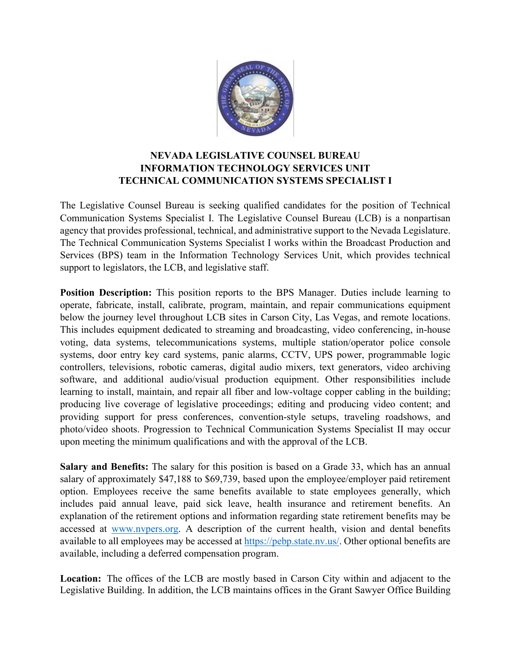

## **NEVADA LEGISLATIVE COUNSEL BUREAU INFORMATION TECHNOLOGY SERVICES UNIT TECHNICAL COMMUNICATION SYSTEMS SPECIALIST I**

The Legislative Counsel Bureau is seeking qualified candidates for the position of Technical Communication Systems Specialist I. The Legislative Counsel Bureau (LCB) is a nonpartisan agency that provides professional, technical, and administrative support to the Nevada Legislature. The Technical Communication Systems Specialist I works within the Broadcast Production and Services (BPS) team in the Information Technology Services Unit, which provides technical support to legislators, the LCB, and legislative staff.

**Position Description:** This position reports to the BPS Manager. Duties include learning to operate, fabricate, install, calibrate, program, maintain, and repair communications equipment below the journey level throughout LCB sites in Carson City, Las Vegas, and remote locations. This includes equipment dedicated to streaming and broadcasting, video conferencing, in-house voting, data systems, telecommunications systems, multiple station/operator police console systems, door entry key card systems, panic alarms, CCTV, UPS power, programmable logic controllers, televisions, robotic cameras, digital audio mixers, text generators, video archiving software, and additional audio/visual production equipment. Other responsibilities include learning to install, maintain, and repair all fiber and low-voltage copper cabling in the building; producing live coverage of legislative proceedings; editing and producing video content; and providing support for press conferences, convention-style setups, traveling roadshows, and photo/video shoots. Progression to Technical Communication Systems Specialist II may occur upon meeting the minimum qualifications and with the approval of the LCB.

**Salary and Benefits:** The salary for this position is based on a Grade 33, which has an annual salary of approximately \$47,188 to \$69,739, based upon the employee/employer paid retirement option. Employees receive the same benefits available to state employees generally, which includes paid annual leave, paid sick leave, health insurance and retirement benefits. An explanation of the retirement options and information regarding state retirement benefits may be accessed at [www.nvpers.org.](http://www.nvpers.org/) A description of the current health, vision and dental benefits available to all employees may be accessed at [https://pebp.state.nv.us/.](https://pebp.state.nv.us/) Other optional benefits are available, including a deferred compensation program.

**Location:**  The offices of the LCB are mostly based in Carson City within and adjacent to the Legislative Building. In addition, the LCB maintains offices in the Grant Sawyer Office Building